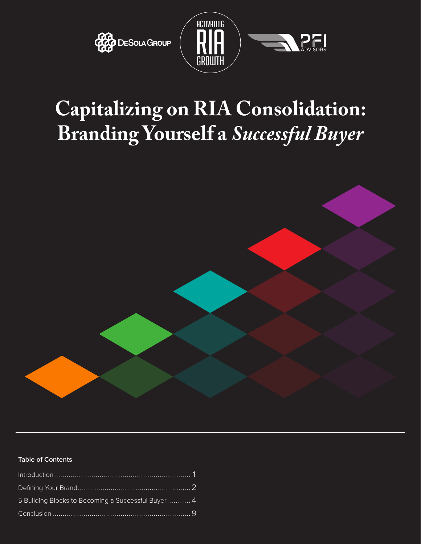



# **Capitalizing on RIA Consolidation: Branding Yourself a** *Successful Buyer*



#### **Table of Contents**

| 5 Building Blocks to Becoming a Successful Buyer 4 |  |
|----------------------------------------------------|--|
|                                                    |  |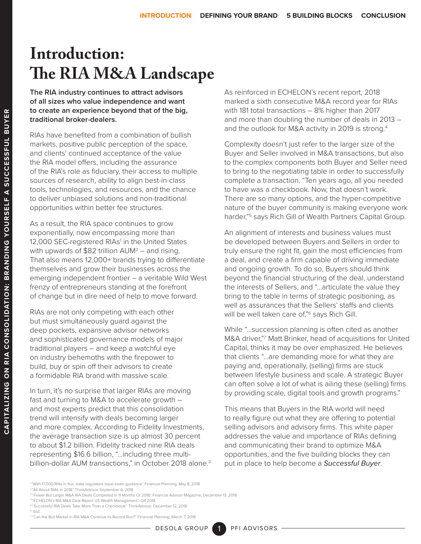## **Introduction: The RIA M&A Landscape**

**The RIA industry continues to attract advisors of all sizes who value independence and want to create an experience beyond that of the big, traditional broker-dealers.**

RIAs have benefited from a combination of bullish markets, positive public perception of the space, and clients' continued acceptance of the value the RIA model offers, including the assurance of the RIA's role as fiduciary, their access to multiple sources of research, ability to align best-in-class tools, technologies, and resources, and the chance to deliver unbiased solutions and non-traditional opportunities within better fee structures.

As a result, the RIA space continues to grow exponentially, now encompassing more than 12,000 SEC-registered RIAs<sup>1</sup> in the United States with upwards of  $$82$  trillion  $AUM^2$  – and rising. That also means 12,000+ brands trying to differentiate themselves and grow their businesses across the emerging independent frontier – a veritable Wild West frenzy of entrepreneurs standing at the forefront of change but in dire need of help to move forward.

RIAs are not only competing with each other but must simultaneously guard against the deep pockets, expansive advisor networks and sophisticated governance models of major traditional players – and keep a watchful eye on industry behemoths with the firepower to build, buy or spin off their advisors to create a formidable RIA brand with massive scale.

In turn, it's no surprise that larger RIAs are moving fast and turning to M&A to accelerate growth – and most experts predict that this consolidation trend will intensify with deals becoming larger and more complex. According to Fidelity Investments, the average transaction size is up almost 30 percent to about \$1.2 billion. Fidelity tracked nine RIA deals representing \$16.6 billion, "…including three multibillion-dollar AUM transactions," in October 2018 alone.<sup>3</sup> As reinforced in ECHELON's recent report, 2018 marked a sixth consecutive M&A record year for RIAs with 181 total transactions – 8% higher than 2017 and more than doubling the number of deals in 2013 – and the outlook for M&A activity in 2019 is strong.<sup>4</sup>

Complexity doesn't just refer to the larger size of the Buyer and Seller involved in M&A transactions, but also to the complex components both Buyer and Seller need to bring to the negotiating table in order to successfully complete a transaction. "Ten years ago, all you needed to have was a checkbook. Now, that doesn't work. There are so many options, and the hyper-competitive nature of the buyer community is making everyone work harder,"<sup>5</sup> says Rich Gill of Wealth Partners Capital Group.

An alignment of interests and business values must be developed between Buyers and Sellers in order to truly ensure the right fit, gain the most efficiencies from a deal, and create a firm capable of driving immediate and ongoing growth. To do so, Buyers should think beyond the financial structuring of the deal, understand the interests of Sellers, and "...articulate the value they bring to the table in terms of strategic positioning, as well as assurances that the Sellers' staffs and clients will be well taken care of,"<sup>6</sup> says Rich Gill.

While "…succession planning is often cited as another M&A driver,"7 Matt Brinker, head of acquisitions for United Capital, thinks it may be over emphasized. He believes that clients "…are demanding more for what they are paying and, operationally, (selling) firms are stuck between lifestyle business and scale. A strategic Buyer can often solve a lot of what is ailing these (selling) firms by providing scale, digital tools and growth programs."

This means that Buyers in the RIA world will need to really figure out what they are offering to potential selling advisors and advisory firms. This white paper addresses the value and importance of RIAs defining and communicating their brand to optimize M&A opportunities, and the five building blocks they can put in place to help become a *Successful Buyer*.

- 3 ["Fewer But Larger M&A RIA Deals Completed In 11 Months Of 2018" Financial Advisor Magazine, December 13, 2018](https://www.fa-mag.com/news/fewer-but-larger-m-a-deals-completed-in-11-months-of-2018-42358.html)
- <sup>4</sup> ["ECHELON's RIA M&A Deal Report US Wealth Management | Q4 2018](https://docs.wixstatic.com/ugd/694b5b_315b41e0f3704632b40c3d0dd67b0c5c.pdf)

**CAPITALIZING ON RIA CONSOLIDATION: BRANDING YOURSELF A SUCCESSFUL BUYER**

CAPITALIZING ON RIA CONSOLIDATION: BRANDING YOURSELF A SUCCESSFUL BUYER

<sup>1</sup> ["With 17,000 RIAs in flux, state regulators issue exam guidance" Financial Planning, May 8, 2018](https://www.financial-planning.com/news/sec-to-meet-on-regulation-best-interest-with-nasaa )  2 ["All About RIAs in 2018" ThinkAdvisor, September 6, 2018](https://www.thinkadvisor.com/2018/09/06/number-of-rias-and-their-aum-continue-to-climb-iaa/?kw=All%20About%20RIAs%20in%202018&et=editorial&bu=TA&cn=20180906&src=EMC-Email&pt=DailyWire)

<sup>5</sup> ["Successful RIA Deals Take More Than a Checkbook" ThinkAdvisor, December 12, 2018](https://www.thinkadvisor.com/2018/12/12/why-it-takes-more-than-a-checkbook-to-succeed-at-r/?slreturn=20190125134359)

<sup>6</sup> [Ibid.](https://www.thinkadvisor.com/2018/12/12/why-it-takes-more-than-a-checkbook-to-succeed-at-r/?slreturn=20190125134359)

<sup>7</sup> ["Can the Bull Market in RIA M&A Continue its Record Run?" Financial Planning, March 7, 2018](https://www.financial-planning.com/news/bull-market-in-ria-m-a-to-continue-echelon-partners)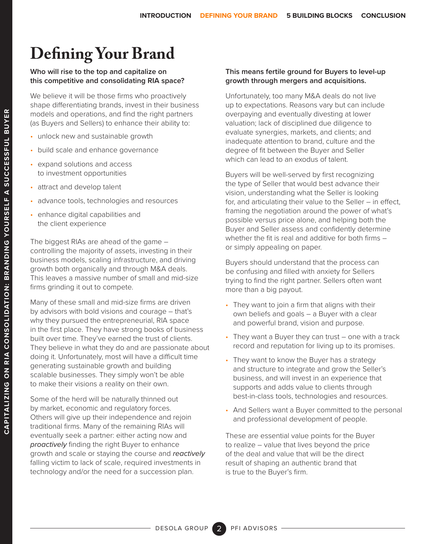## **Defining Your Brand**

#### **Who will rise to the top and capitalize on this competitive and consolidating RIA space?**

We believe it will be those firms who proactively shape differentiating brands, invest in their business models and operations, and find the right partners (as Buyers and Sellers) to enhance their ability to:

- unlock new and sustainable growth
- build scale and enhance governance
- expand solutions and access to investment opportunities
- attract and develop talent
- advance tools, technologies and resources
- enhance digital capabilities and the client experience

The biggest RIAs are ahead of the game – controlling the majority of assets, investing in their business models, scaling infrastructure, and driving growth both organically and through M&A deals. This leaves a massive number of small and mid-size firms grinding it out to compete.

Many of these small and mid-size firms are driven by advisors with bold visions and courage – that's why they pursued the entrepreneurial, RIA space in the first place. They have strong books of business built over time. They've earned the trust of clients. They believe in what they do and are passionate about doing it. Unfortunately, most will have a difficult time generating sustainable growth and building scalable businesses. They simply won't be able to make their visions a reality on their own.

Some of the herd will be naturally thinned out by market, economic and regulatory forces. Others will give up their independence and rejoin traditional firms. Many of the remaining RIAs will eventually seek a partner: either acting now and *proactively* finding the right Buyer to enhance growth and scale or staying the course and *reactively* falling victim to lack of scale, required investments in technology and/or the need for a succession plan.

#### **This means fertile ground for Buyers to level-up growth through mergers and acquisitions.**

Unfortunately, too many M&A deals do not live up to expectations. Reasons vary but can include overpaying and eventually divesting at lower valuation; lack of disciplined due diligence to evaluate synergies, markets, and clients; and inadequate attention to brand, culture and the degree of fit between the Buyer and Seller which can lead to an exodus of talent.

Buyers will be well-served by first recognizing the type of Seller that would best advance their vision, understanding what the Seller is looking for, and articulating their value to the Seller – in effect, framing the negotiation around the power of what's possible versus price alone, and helping both the Buyer and Seller assess and confidently determine whether the fit is real and additive for both firms – or simply appealing on paper.

Buyers should understand that the process can be confusing and filled with anxiety for Sellers trying to find the right partner. Sellers often want more than a big payout.

- They want to join a firm that aligns with their own beliefs and goals – a Buyer with a clear and powerful brand, vision and purpose.
- They want a Buyer they can trust one with a track record and reputation for living up to its promises.
- They want to know the Buyer has a strategy and structure to integrate and grow the Seller's business, and will invest in an experience that supports and adds value to clients through best-in-class tools, technologies and resources.
- And Sellers want a Buyer committed to the personal and professional development of people.

These are essential value points for the Buyer to realize – value that lives beyond the price of the deal and value that will be the direct result of shaping an authentic brand that is true to the Buyer's firm.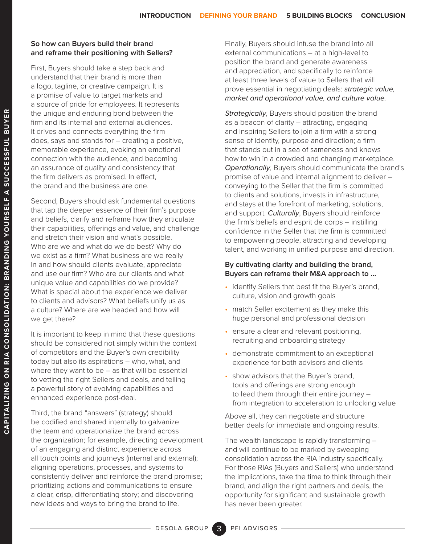#### **So how can Buyers build their brand and reframe their positioning with Sellers?**

First, Buyers should take a step back and understand that their brand is more than a logo, tagline, or creative campaign. It is a promise of value to target markets and a source of pride for employees. It represents the unique and enduring bond between the firm and its internal and external audiences. It drives and connects everything the firm does, says and stands for – creating a positive, memorable experience, evoking an emotional connection with the audience, and becoming an assurance of quality and consistency that the firm delivers as promised. In effect, the brand and the business are one.

Second, Buyers should ask fundamental questions that tap the deeper essence of their firm's purpose and beliefs, clarify and reframe how they articulate their capabilities, offerings and value, and challenge and stretch their vision and what's possible. Who are we and what do we do best? Why do we exist as a firm? What business are we really in and how should clients evaluate, appreciate and use our firm? Who are our clients and what unique value and capabilities do we provide? What is special about the experience we deliver to clients and advisors? What beliefs unify us as a culture? Where are we headed and how will we get there?

It is important to keep in mind that these questions should be considered not simply within the context of competitors and the Buyer's own credibility today but also its aspirations – who, what, and where they want to be – as that will be essential to vetting the right Sellers and deals, and telling a powerful story of evolving capabilities and enhanced experience post-deal.

Third, the brand "answers" (strategy) should be codified and shared internally to galvanize the team and operationalize the brand across the organization; for example, directing development of an engaging and distinct experience across all touch points and journeys (internal and external); aligning operations, processes, and systems to consistently deliver and reinforce the brand promise; prioritizing actions and communications to ensure a clear, crisp, differentiating story; and discovering new ideas and ways to bring the brand to life.

Finally, Buyers should infuse the brand into all external communications – at a high-level to position the brand and generate awareness and appreciation, and specifically to reinforce at least three levels of value to Sellers that will prove essential in negotiating deals: *strategic value, market and operational value, and culture value.*

*Strategically*, Buyers should position the brand as a beacon of clarity – attracting, engaging and inspiring Sellers to join a firm with a strong sense of identity, purpose and direction; a firm that stands out in a sea of sameness and knows how to win in a crowded and changing marketplace. *Operationally*, Buyers should communicate the brand's promise of value and internal alignment to deliver – conveying to the Seller that the firm is committed to clients and solutions, invests in infrastructure, and stays at the forefront of marketing, solutions, and support. *Culturally*, Buyers should reinforce the firm's beliefs and esprit de corps – instilling confidence in the Seller that the firm is committed to empowering people, attracting and developing talent, and working in unified purpose and direction.

#### **By cultivating clarity and building the brand, Buyers can reframe their M&A approach to …**

- identify Sellers that best fit the Buyer's brand, culture, vision and growth goals
- match Seller excitement as they make this huge personal and professional decision
- ensure a clear and relevant positioning, recruiting and onboarding strategy
- demonstrate commitment to an exceptional experience for both advisors and clients
- show advisors that the Buyer's brand, tools and offerings are strong enough to lead them through their entire journey – from integration to acceleration to unlocking value

Above all, they can negotiate and structure better deals for immediate and ongoing results.

The wealth landscape is rapidly transforming – and will continue to be marked by sweeping consolidation across the RIA industry specifically. For those RIAs (Buyers and Sellers) who understand the implications, take the time to think through their brand, and align the right partners and deals, the opportunity for significant and sustainable growth has never been greater.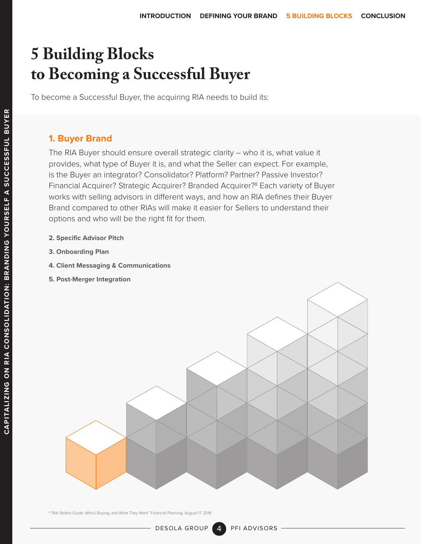To become a Successful Buyer, the acquiring RIA needs to build its:

#### **1. Buyer Brand**

The RIA Buyer should ensure overall strategic clarity – who it is, what value it provides, what type of Buyer it is, and what the Seller can expect. For example, is the Buyer an integrator? Consolidator? Platform? Partner? Passive Investor? Financial Acquirer? Strategic Acquirer? Branded Acquirer?<sup>8</sup> Each variety of Buyer works with selling advisors in different ways, and how an RIA defines their Buyer Brand compared to other RIAs will make it easier for Sellers to understand their options and who will be the right fit for them.

- **2. Specific Advisor Pitch**
- **3. Onboarding Plan**
- **4. Client Messaging & Communications**
- **5. Post-Merger Integration**



8 ["RIA Sellers Guide: Who's Buying, and What They Want" Financial Planning, August 17, 2016](https://www.financial-planning.com/news/ria-sellers-guide-whos-buying-and-what-they-want)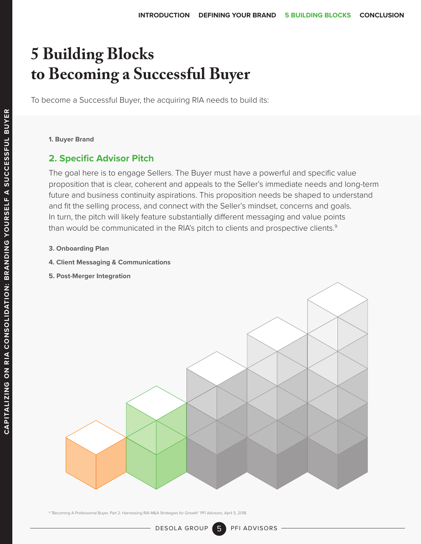To become a Successful Buyer, the acquiring RIA needs to build its:

**1. Buyer Brand**

#### **2. Specific Advisor Pitch**

The goal here is to engage Sellers. The Buyer must have a powerful and specific value proposition that is clear, coherent and appeals to the Seller's immediate needs and long-term future and business continuity aspirations. This proposition needs be shaped to understand and fit the selling process, and connect with the Seller's mindset, concerns and goals. In turn, the pitch will likely feature substantially different messaging and value points than would be communicated in the RIA's pitch to clients and prospective clients.<sup>9</sup>

- **3. Onboarding Plan**
- **4. Client Messaging & Communications**
- **5. Post-Merger Integration**



9 ["Becoming A Professional Buyer, Part 2: Harnessing RIA M&A Strategies for Growth" PFI Advisors, April 5, 2018](https://pfiadvisors.com/news/pfi-advisors-releases-2nd-installment-of-becoming-a-professional-buyer-harnessing-ria-ma-strategies-for-growth/)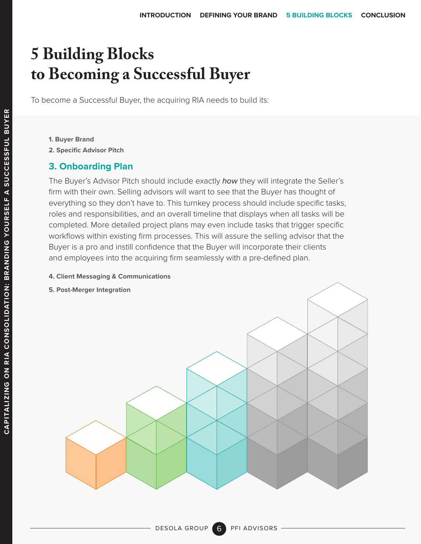To become a Successful Buyer, the acquiring RIA needs to build its:

- **1. Buyer Brand**
- **2. Specific Advisor Pitch**

#### **3. Onboarding Plan**

The Buyer's Advisor Pitch should include exactly *how* they will integrate the Seller's firm with their own. Selling advisors will want to see that the Buyer has thought of everything so they don't have to. This turnkey process should include specific tasks, roles and responsibilities, and an overall timeline that displays when all tasks will be completed. More detailed project plans may even include tasks that trigger specific workflows within existing firm processes. This will assure the selling advisor that the Buyer is a pro and instill confidence that the Buyer will incorporate their clients and employees into the acquiring firm seamlessly with a pre-defined plan.

#### **4. Client Messaging & Communications**

**5. Post-Merger Integration**

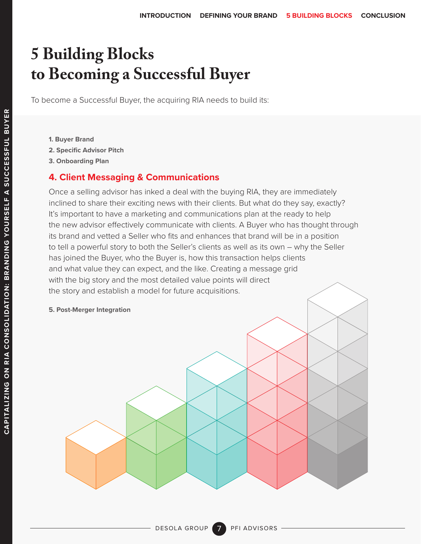To become a Successful Buyer, the acquiring RIA needs to build its:

- **1. Buyer Brand**
- **2. Specific Advisor Pitch**
- **3. Onboarding Plan**

#### **4. Client Messaging & Communications**

Once a selling advisor has inked a deal with the buying RIA, they are immediately inclined to share their exciting news with their clients. But what do they say, exactly? It's important to have a marketing and communications plan at the ready to help the new advisor effectively communicate with clients. A Buyer who has thought through its brand and vetted a Seller who fits and enhances that brand will be in a position to tell a powerful story to both the Seller's clients as well as its own – why the Seller has joined the Buyer, who the Buyer is, how this transaction helps clients and what value they can expect, and the like. Creating a message grid with the big story and the most detailed value points will direct the story and establish a model for future acquisitions.

**5. Post-Merger Integration** 

7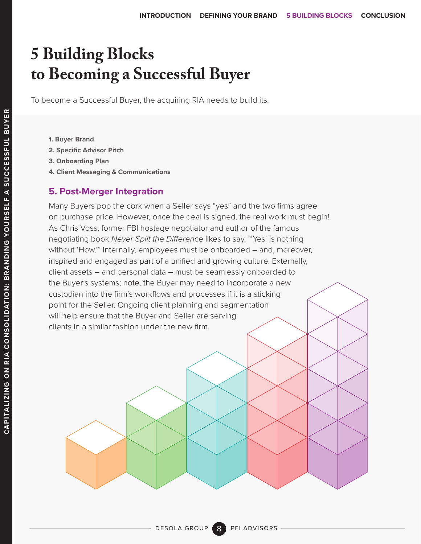To become a Successful Buyer, the acquiring RIA needs to build its:

- **1. Buyer Brand**
- **2. Specific Advisor Pitch**
- **3. Onboarding Plan**
- **4. Client Messaging & Communications**

#### **5. Post-Merger Integration**

Many Buyers pop the cork when a Seller says "yes" and the two firms agree on purchase price. However, once the deal is signed, the real work must begin! As Chris Voss, former FBI hostage negotiator and author of the famous negotiating book *Never Split the Difference* likes to say, "'Yes' is nothing without 'How.'" Internally, employees must be onboarded – and, moreover, inspired and engaged as part of a unified and growing culture. Externally, client assets – and personal data – must be seamlessly onboarded to the Buyer's systems; note, the Buyer may need to incorporate a new custodian into the firm's workflows and processes if it is a sticking point for the Seller. Ongoing client planning and segmentation will help ensure that the Buyer and Seller are serving clients in a similar fashion under the new firm.